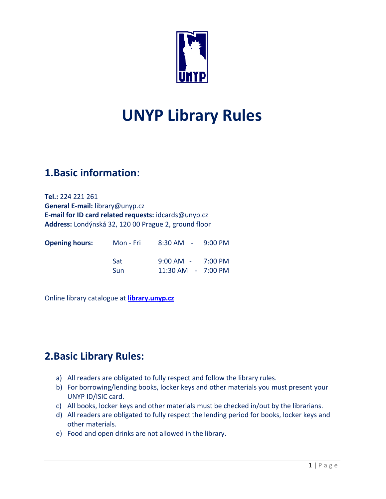

# **UNYP Library Rules**

## **1.Basic information**:

**Tel.:** 224 221 261 **General E-mail:** library@unyp.cz **E-mail for ID card related requests:** [idcards@unyp.cz](mailto:idcards@unyp.cz) **Address:** Londýnská 32, 120 00 Prague 2, ground floor

| <b>Opening hours:</b> | Mon - Fri  | $8:30$ AM $-$ 9:00 PM                   |  |
|-----------------------|------------|-----------------------------------------|--|
|                       | Sat<br>Sun | 9:00 AM - 7:00 PM<br>11:30 AM - 7:00 PM |  |

Online library catalogue at **[library.unyp.cz](https://library.unyp.cz/eng/baze.htm)**

# **2.Basic Library Rules:**

- a) All readers are obligated to fully respect and follow the library rules.
- b) For borrowing/lending books, locker keys and other materials you must present your UNYP ID/ISIC card.
- c) All books, locker keys and other materials must be checked in/out by the librarians.
- d) All readers are obligated to fully respect the lending period for books, locker keys and other materials.
- e) Food and open drinks are not allowed in the library.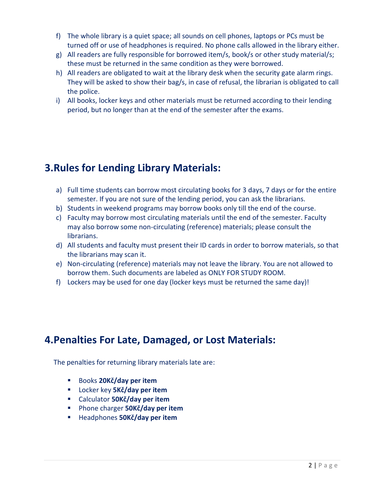- f) The whole library is a quiet space; all sounds on cell phones, laptops or PCs must be turned off or use of headphones is required. No phone calls allowed in the library either.
- g) All readers are fully responsible for borrowed item/s, book/s or other study material/s; these must be returned in the same condition as they were borrowed.
- h) All readers are obligated to wait at the library desk when the security gate alarm rings. They will be asked to show their bag/s, in case of refusal, the librarian is obligated to call the police.
- i) All books, locker keys and other materials must be returned according to their lending period, but no longer than at the end of the semester after the exams.

## **3.Rules for Lending Library Materials:**

- a) Full time students can borrow most circulating books for 3 days, 7 days or for the entire semester. If you are not sure of the lending period, you can ask the librarians.
- b) Students in weekend programs may borrow books only till the end of the course.
- c) Faculty may borrow most circulating materials until the end of the semester. Faculty may also borrow some non-circulating (reference) materials; please consult the librarians.
- d) All students and faculty must present their ID cards in order to borrow materials, so that the librarians may scan it.
- e) Non-circulating (reference) materials may not leave the library. You are not allowed to borrow them. Such documents are labeled as ONLY FOR STUDY ROOM.
- f) Lockers may be used for one day (locker keys must be returned the same day)!

### **4.Penalties For Late, Damaged, or Lost Materials:**

The penalties for returning library materials late are:

- Books **20Kč/day per item**
- Locker key **5Kč/day per item**
- Calculator **50Kč/day per item**
- Phone charger **50Kč/day per item**
- Headphones **50Kč/day per item**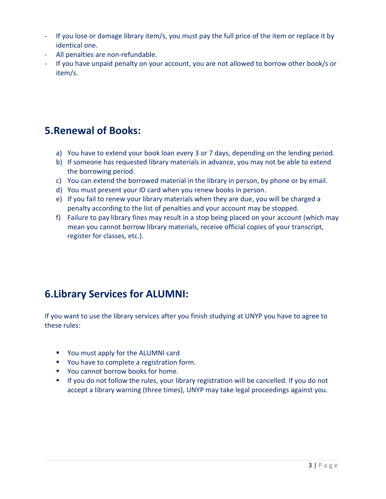- If you lose or damage library item/s, you must pay the full price of the item or replace it by identical one.
- All penalties are non-refundable.
- If you have unpaid penalty on your account, you are not allowed to borrow other book/s or item/s.

### **5.Renewal of Books:**

- a) You have to extend your book loan every 3 or 7 days, depending on the lending period.
- b) If someone has requested library materials in advance, you may not be able to extend the borrowing period.
- c) You can extend the borrowed material in the library in person, by phone or by email.
- d) You must present your ID card when you renew books in person.
- e) If you fail to renew your library materials when they are due, you will be charged a penalty according to the list of penalties and your account may be stopped.
- f) Failure to pay library fines may result in a stop being placed on your account (which may mean you cannot borrow library materials, receive official copies of your transcript, register for classes, etc.).

# **6.Library Services for ALUMNI:**

If you want to use the library services after you finish studying at UNYP you have to agree to these rules:

- You must apply for the ALUMNI card
- You have to complete a registration form.
- You cannot borrow books for home.
- **If you do not follow the rules, your library registration will be cancelled. If you do not** accept a library warning (three times), UNYP may take legal proceedings against you.